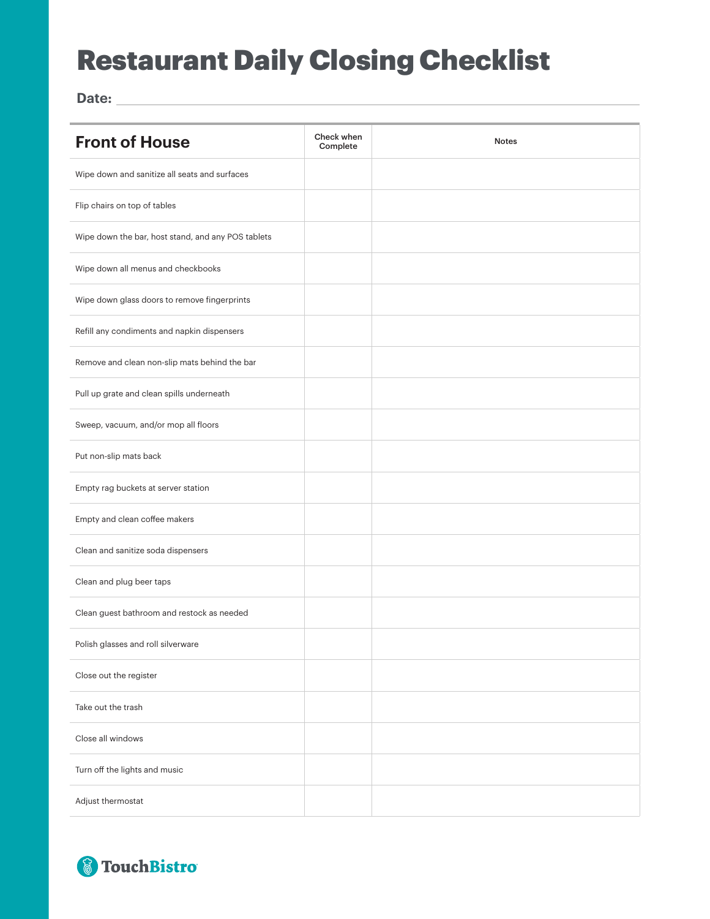## Restaurant Daily Closing Checklist

**Date:**

| <b>Front of House</b>                              | Check when<br>Complete | <b>Notes</b> |
|----------------------------------------------------|------------------------|--------------|
| Wipe down and sanitize all seats and surfaces      |                        |              |
| Flip chairs on top of tables                       |                        |              |
| Wipe down the bar, host stand, and any POS tablets |                        |              |
| Wipe down all menus and checkbooks                 |                        |              |
| Wipe down glass doors to remove fingerprints       |                        |              |
| Refill any condiments and napkin dispensers        |                        |              |
| Remove and clean non-slip mats behind the bar      |                        |              |
| Pull up grate and clean spills underneath          |                        |              |
| Sweep, vacuum, and/or mop all floors               |                        |              |
| Put non-slip mats back                             |                        |              |
| Empty rag buckets at server station                |                        |              |
| Empty and clean coffee makers                      |                        |              |
| Clean and sanitize soda dispensers                 |                        |              |
| Clean and plug beer taps                           |                        |              |
| Clean guest bathroom and restock as needed         |                        |              |
| Polish glasses and roll silverware                 |                        |              |
| Close out the register                             |                        |              |
| Take out the trash                                 |                        |              |
| Close all windows                                  |                        |              |
| Turn off the lights and music                      |                        |              |
| Adjust thermostat                                  |                        |              |

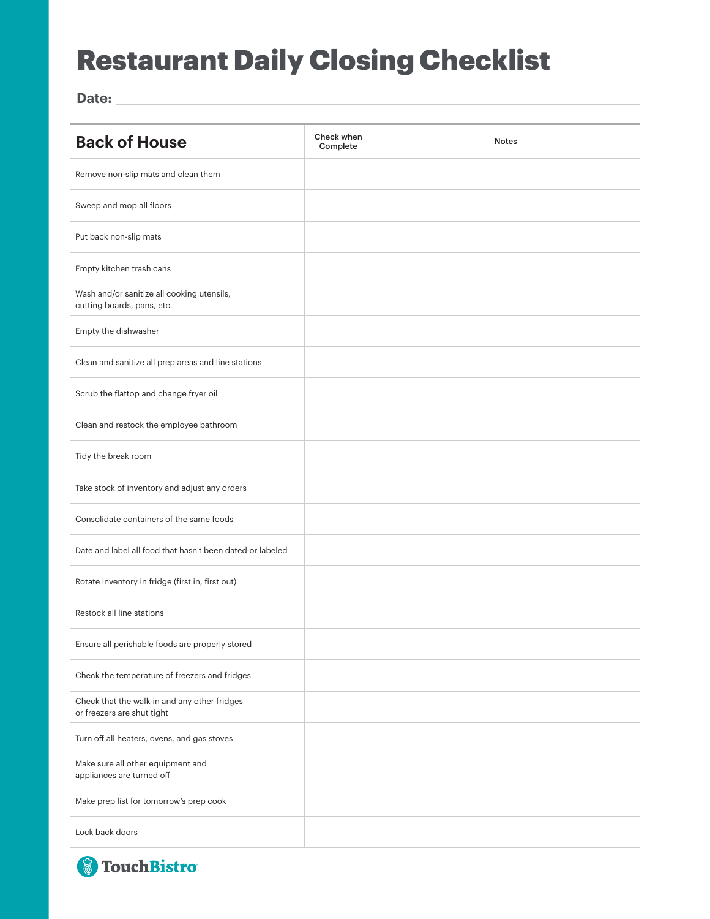## Restaurant Daily Closing Checklist

**Date:**

| <b>Back of House</b>                                                       | Check when<br>Complete | <b>Notes</b> |
|----------------------------------------------------------------------------|------------------------|--------------|
| Remove non-slip mats and clean them                                        |                        |              |
| Sweep and mop all floors                                                   |                        |              |
| Put back non-slip mats                                                     |                        |              |
| Empty kitchen trash cans                                                   |                        |              |
| Wash and/or sanitize all cooking utensils,<br>cutting boards, pans, etc.   |                        |              |
| Empty the dishwasher                                                       |                        |              |
| Clean and sanitize all prep areas and line stations                        |                        |              |
| Scrub the flattop and change fryer oil                                     |                        |              |
| Clean and restock the employee bathroom                                    |                        |              |
| Tidy the break room                                                        |                        |              |
| Take stock of inventory and adjust any orders                              |                        |              |
| Consolidate containers of the same foods                                   |                        |              |
| Date and label all food that hasn't been dated or labeled                  |                        |              |
| Rotate inventory in fridge (first in, first out)                           |                        |              |
| Restock all line stations                                                  |                        |              |
| Ensure all perishable foods are properly stored                            |                        |              |
| Check the temperature of freezers and fridges                              |                        |              |
| Check that the walk-in and any other fridges<br>or freezers are shut tight |                        |              |
| Turn off all heaters, ovens, and gas stoves                                |                        |              |
| Make sure all other equipment and<br>appliances are turned off             |                        |              |
| Make prep list for tomorrow's prep cook                                    |                        |              |
| Lock back doors                                                            |                        |              |